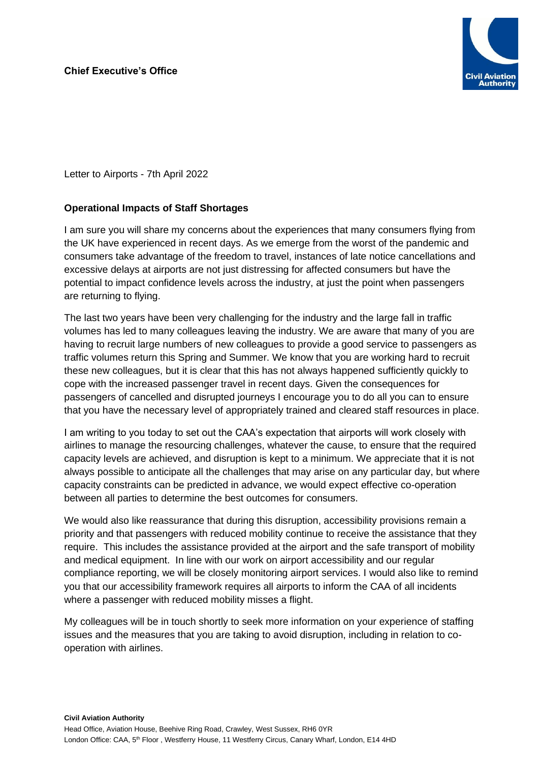

Letter to Airports - 7th April 2022

## **Operational Impacts of Staff Shortages**

I am sure you will share my concerns about the experiences that many consumers flying from the UK have experienced in recent days. As we emerge from the worst of the pandemic and consumers take advantage of the freedom to travel, instances of late notice cancellations and excessive delays at airports are not just distressing for affected consumers but have the potential to impact confidence levels across the industry, at just the point when passengers are returning to flying.

The last two years have been very challenging for the industry and the large fall in traffic volumes has led to many colleagues leaving the industry. We are aware that many of you are having to recruit large numbers of new colleagues to provide a good service to passengers as traffic volumes return this Spring and Summer. We know that you are working hard to recruit these new colleagues, but it is clear that this has not always happened sufficiently quickly to cope with the increased passenger travel in recent days. Given the consequences for passengers of cancelled and disrupted journeys I encourage you to do all you can to ensure that you have the necessary level of appropriately trained and cleared staff resources in place.

I am writing to you today to set out the CAA's expectation that airports will work closely with airlines to manage the resourcing challenges, whatever the cause, to ensure that the required capacity levels are achieved, and disruption is kept to a minimum. We appreciate that it is not always possible to anticipate all the challenges that may arise on any particular day, but where capacity constraints can be predicted in advance, we would expect effective co-operation between all parties to determine the best outcomes for consumers.

We would also like reassurance that during this disruption, accessibility provisions remain a priority and that passengers with reduced mobility continue to receive the assistance that they require. This includes the assistance provided at the airport and the safe transport of mobility and medical equipment. In line with our work on airport accessibility and our regular compliance reporting, we will be closely monitoring airport services. I would also like to remind you that our accessibility framework requires all airports to inform the CAA of all incidents where a passenger with reduced mobility misses a flight.

My colleagues will be in touch shortly to seek more information on your experience of staffing issues and the measures that you are taking to avoid disruption, including in relation to cooperation with airlines.